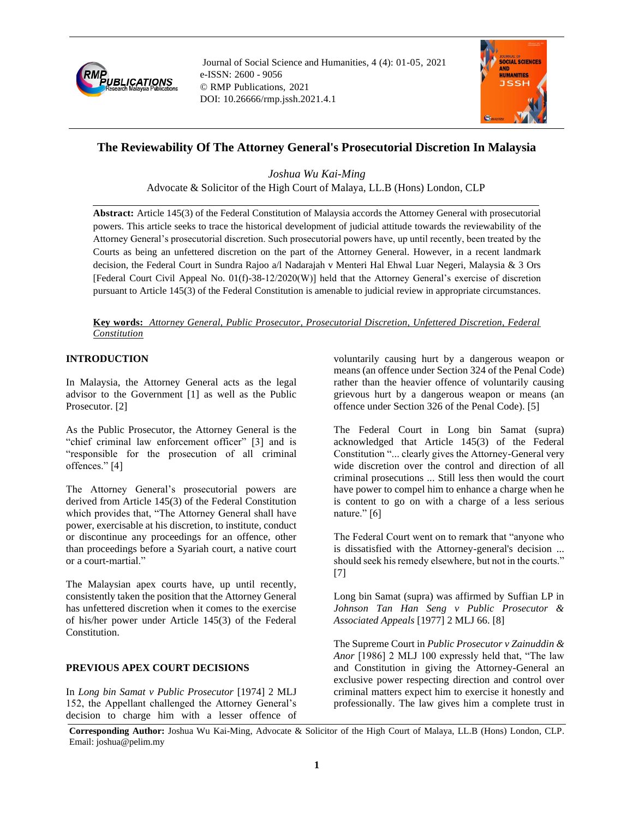

Journal of Social Science and Humanities, 4 (4): 01-05, 2021 e-ISSN: 2600 - 9056 © RMP Publications, 2021 DOI: 10.26666/rmp.jssh.2021.4.1



# **The Reviewability Of The Attorney General's Prosecutorial Discretion In Malaysia**

*Joshua Wu Kai-Ming* Advocate & Solicitor of the High Court of Malaya, LL.B (Hons) London, CLP

**Abstract:** Article 145(3) of the Federal Constitution of Malaysia accords the Attorney General with prosecutorial powers. This article seeks to trace the historical development of judicial attitude towards the reviewability of the Attorney General's prosecutorial discretion. Such prosecutorial powers have, up until recently, been treated by the Courts as being an unfettered discretion on the part of the Attorney General. However, in a recent landmark decision, the Federal Court in Sundra Rajoo a/l Nadarajah v Menteri Hal Ehwal Luar Negeri, Malaysia & 3 Ors [Federal Court Civil Appeal No. 01(f)-38-12/2020(W)] held that the Attorney General's exercise of discretion pursuant to Article 145(3) of the Federal Constitution is amenable to judicial review in appropriate circumstances.

#### **Key words:** *Attorney General, Public Prosecutor, Prosecutorial Discretion, Unfettered Discretion, Federal Constitution*

## **INTRODUCTION**

In Malaysia, the Attorney General acts as the legal advisor to the Government [1] as well as the Public Prosecutor. [2]

As the Public Prosecutor, the Attorney General is the "chief criminal law enforcement officer" [3] and is "responsible for the prosecution of all criminal offences." [4]

The Attorney General's prosecutorial powers are derived from Article 145(3) of the Federal Constitution which provides that, "The Attorney General shall have power, exercisable at his discretion, to institute, conduct or discontinue any proceedings for an offence, other than proceedings before a Syariah court, a native court or a court-martial."

The Malaysian apex courts have, up until recently, consistently taken the position that the Attorney General has unfettered discretion when it comes to the exercise of his/her power under Article 145(3) of the Federal Constitution.

### **PREVIOUS APEX COURT DECISIONS**

In *Long bin Samat v Public Prosecutor* [1974] 2 MLJ 152, the Appellant challenged the Attorney General's decision to charge him with a lesser offence of voluntarily causing hurt by a dangerous weapon or means (an offence under Section 324 of the Penal Code) rather than the heavier offence of voluntarily causing grievous hurt by a dangerous weapon or means (an offence under Section 326 of the Penal Code). [5]

The Federal Court in Long bin Samat (supra) acknowledged that Article 145(3) of the Federal Constitution "... clearly gives the Attorney-General very wide discretion over the control and direction of all criminal prosecutions ... Still less then would the court have power to compel him to enhance a charge when he is content to go on with a charge of a less serious nature." [6]

The Federal Court went on to remark that "anyone who is dissatisfied with the Attorney-general's decision ... should seek his remedy elsewhere, but not in the courts." [7]

Long bin Samat (supra) was affirmed by Suffian LP in *Johnson Tan Han Seng v Public Prosecutor & Associated Appeals* [1977] 2 MLJ 66. [8]

The Supreme Court in *Public Prosecutor v Zainuddin & Anor* [1986] 2 MLJ 100 expressly held that, "The law and Constitution in giving the Attorney-General an exclusive power respecting direction and control over criminal matters expect him to exercise it honestly and professionally. The law gives him a complete trust in

**Corresponding Author:** Joshua Wu Kai-Ming, Advocate & Solicitor of the High Court of Malaya, LL.B (Hons) London, CLP. Email: joshua@pelim.my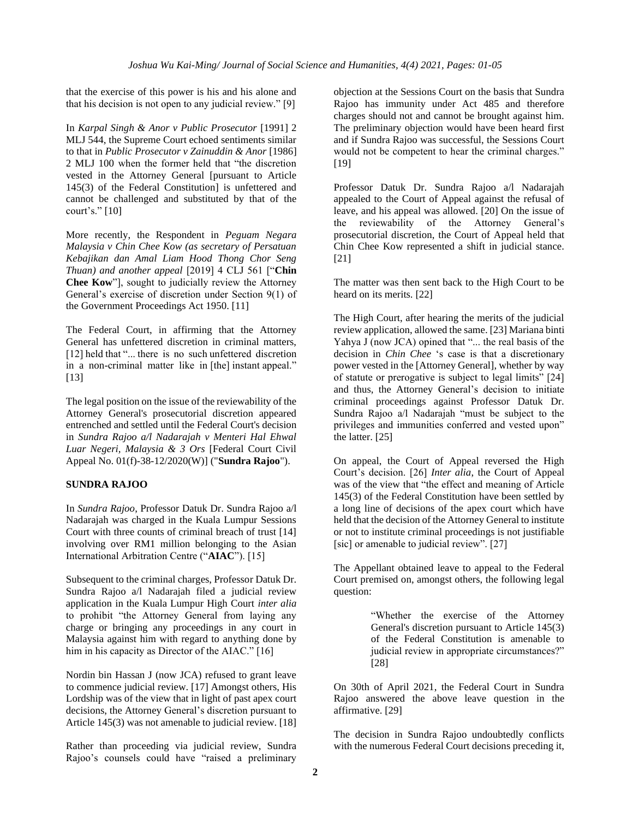that the exercise of this power is his and his alone and that his decision is not open to any judicial review." [9]

In *Karpal Singh & Anor v Public Prosecutor* [1991] 2 MLJ 544, the Supreme Court echoed sentiments similar to that in *Public Prosecutor v Zainuddin & Anor* [1986] 2 MLJ 100 when the former held that "the discretion vested in the Attorney General [pursuant to Article 145(3) of the Federal Constitution] is unfettered and cannot be challenged and substituted by that of the court's." [10]

More recently, the Respondent in *Peguam Negara Malaysia v Chin Chee Kow (as secretary of Persatuan Kebajikan dan Amal Liam Hood Thong Chor Seng Thuan) and another appeal* [2019] 4 CLJ 561 ["**Chin Chee Kow**"], sought to judicially review the Attorney General's exercise of discretion under Section 9(1) of the Government Proceedings Act 1950. [11]

The Federal Court, in affirming that the Attorney General has unfettered discretion in criminal matters, [12] held that "... there is no such unfettered discretion in a non-criminal matter like in [the] instant appeal." [13]

The legal position on the issue of the reviewability of the Attorney General's prosecutorial discretion appeared entrenched and settled until the Federal Court's decision in *Sundra Rajoo a/l Nadarajah v Menteri Hal Ehwal Luar Negeri, Malaysia & 3 Ors* [Federal Court Civil Appeal No. 01(f)-38-12/2020(W)] ("**Sundra Rajoo**").

# **SUNDRA RAJOO**

In *Sundra Rajoo*, Professor Datuk Dr. Sundra Rajoo a/l Nadarajah was charged in the Kuala Lumpur Sessions Court with three counts of criminal breach of trust [14] involving over RM1 million belonging to the Asian International Arbitration Centre ("**AIAC**"). [15]

Subsequent to the criminal charges, Professor Datuk Dr. Sundra Rajoo a/l Nadarajah filed a judicial review application in the Kuala Lumpur High Court *inter alia*  to prohibit "the Attorney General from laying any charge or bringing any proceedings in any court in Malaysia against him with regard to anything done by him in his capacity as Director of the AIAC." [16]

Nordin bin Hassan J (now JCA) refused to grant leave to commence judicial review. [17] Amongst others, His Lordship was of the view that in light of past apex court decisions, the Attorney General's discretion pursuant to Article 145(3) was not amenable to judicial review. [18]

Rather than proceeding via judicial review, Sundra Rajoo's counsels could have "raised a preliminary objection at the Sessions Court on the basis that Sundra Rajoo has immunity under Act 485 and therefore charges should not and cannot be brought against him. The preliminary objection would have been heard first and if Sundra Rajoo was successful, the Sessions Court would not be competent to hear the criminal charges." [19]

Professor Datuk Dr. Sundra Rajoo a/l Nadarajah appealed to the Court of Appeal against the refusal of leave, and his appeal was allowed. [20] On the issue of the reviewability of the Attorney General's prosecutorial discretion, the Court of Appeal held that Chin Chee Kow represented a shift in judicial stance. [21]

The matter was then sent back to the High Court to be heard on its merits. [22]

The High Court, after hearing the merits of the judicial review application, allowed the same. [23] Mariana binti Yahya J (now JCA) opined that "... the real basis of the decision in *Chin Chee* 's case is that a discretionary power vested in the [Attorney General], whether by way of statute or prerogative is subject to legal limits" [24] and thus, the Attorney General's decision to initiate criminal proceedings against Professor Datuk Dr. Sundra Rajoo a/l Nadarajah "must be subject to the privileges and immunities conferred and vested upon" the latter. [25]

On appeal, the Court of Appeal reversed the High Court's decision. [26] *Inter alia*, the Court of Appeal was of the view that "the effect and meaning of Article 145(3) of the Federal Constitution have been settled by a long line of decisions of the apex court which have held that the decision of the Attorney General to institute or not to institute criminal proceedings is not justifiable [sic] or amenable to judicial review". [27]

The Appellant obtained leave to appeal to the Federal Court premised on, amongst others, the following legal question:

> "Whether the exercise of the Attorney General's discretion pursuant to Article 145(3) of the Federal Constitution is amenable to judicial review in appropriate circumstances?" [28]

On 30th of April 2021, the Federal Court in Sundra Rajoo answered the above leave question in the affirmative. [29]

The decision in Sundra Rajoo undoubtedly conflicts with the numerous Federal Court decisions preceding it,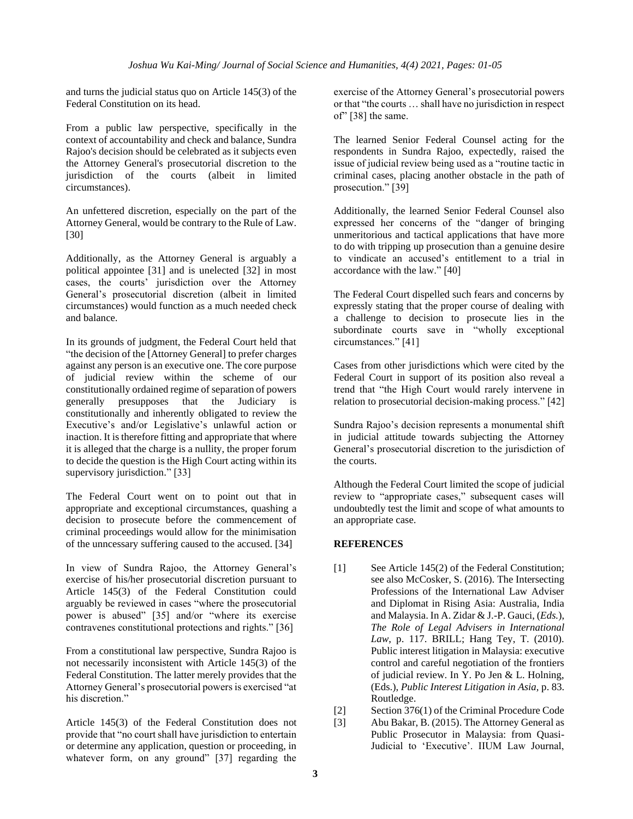and turns the judicial status quo on Article 145(3) of the Federal Constitution on its head.

From a public law perspective, specifically in the context of accountability and check and balance, Sundra Rajoo's decision should be celebrated as it subjects even the Attorney General's prosecutorial discretion to the jurisdiction of the courts (albeit in limited circumstances).

An unfettered discretion, especially on the part of the Attorney General, would be contrary to the Rule of Law. [30]

Additionally, as the Attorney General is arguably a political appointee [31] and is unelected [32] in most cases, the courts' jurisdiction over the Attorney General's prosecutorial discretion (albeit in limited circumstances) would function as a much needed check and balance.

In its grounds of judgment, the Federal Court held that "the decision of the [Attorney General] to prefer charges against any person is an executive one. The core purpose of judicial review within the scheme of our constitutionally ordained regime of separation of powers generally presupposes that the Judiciary is constitutionally and inherently obligated to review the Executive's and/or Legislative's unlawful action or inaction. It is therefore fitting and appropriate that where it is alleged that the charge is a nullity, the proper forum to decide the question is the High Court acting within its supervisory jurisdiction." [33]

The Federal Court went on to point out that in appropriate and exceptional circumstances, quashing a decision to prosecute before the commencement of criminal proceedings would allow for the minimisation of the unncessary suffering caused to the accused. [34]

In view of Sundra Rajoo, the Attorney General's exercise of his/her prosecutorial discretion pursuant to Article 145(3) of the Federal Constitution could arguably be reviewed in cases "where the prosecutorial power is abused" [35] and/or "where its exercise contravenes constitutional protections and rights." [36]

From a constitutional law perspective, Sundra Rajoo is not necessarily inconsistent with Article 145(3) of the Federal Constitution. The latter merely provides that the Attorney General's prosecutorial powers is exercised "at his discretion."

Article 145(3) of the Federal Constitution does not provide that "no court shall have jurisdiction to entertain or determine any application, question or proceeding, in whatever form, on any ground" [37] regarding the

exercise of the Attorney General's prosecutorial powers or that "the courts … shall have no jurisdiction in respect of" [38] the same.

The learned Senior Federal Counsel acting for the respondents in Sundra Rajoo, expectedly, raised the issue of judicial review being used as a "routine tactic in criminal cases, placing another obstacle in the path of prosecution." [39]

Additionally, the learned Senior Federal Counsel also expressed her concerns of the "danger of bringing unmeritorious and tactical applications that have more to do with tripping up prosecution than a genuine desire to vindicate an accused's entitlement to a trial in accordance with the law." [40]

The Federal Court dispelled such fears and concerns by expressly stating that the proper course of dealing with a challenge to decision to prosecute lies in the subordinate courts save in "wholly exceptional circumstances." [41]

Cases from other jurisdictions which were cited by the Federal Court in support of its position also reveal a trend that "the High Court would rarely intervene in relation to prosecutorial decision-making process." [42]

Sundra Rajoo's decision represents a monumental shift in judicial attitude towards subjecting the Attorney General's prosecutorial discretion to the jurisdiction of the courts.

Although the Federal Court limited the scope of judicial review to "appropriate cases," subsequent cases will undoubtedly test the limit and scope of what amounts to an appropriate case.

### **REFERENCES**

- [1] See Article 145(2) of the Federal Constitution; see also McCosker, S. (2016). The Intersecting Professions of the International Law Adviser and Diplomat in Rising Asia: Australia, India and Malaysia. In A. Zidar & J.-P. Gauci, (*Eds.*), *The Role of Legal Advisers in International Law*, p. 117. BRILL; Hang Tey, T. (2010). Public interest litigation in Malaysia: executive control and careful negotiation of the frontiers of judicial review. In Y. Po Jen & L. Holning, (Eds.), *Public Interest Litigation in Asia,* p. 83. Routledge.
- [2] Section 376(1) of the Criminal Procedure Code
- [3] Abu Bakar, B. (2015). The Attorney General as Public Prosecutor in Malaysia: from Quasi-Judicial to 'Executive'. IIUM Law Journal,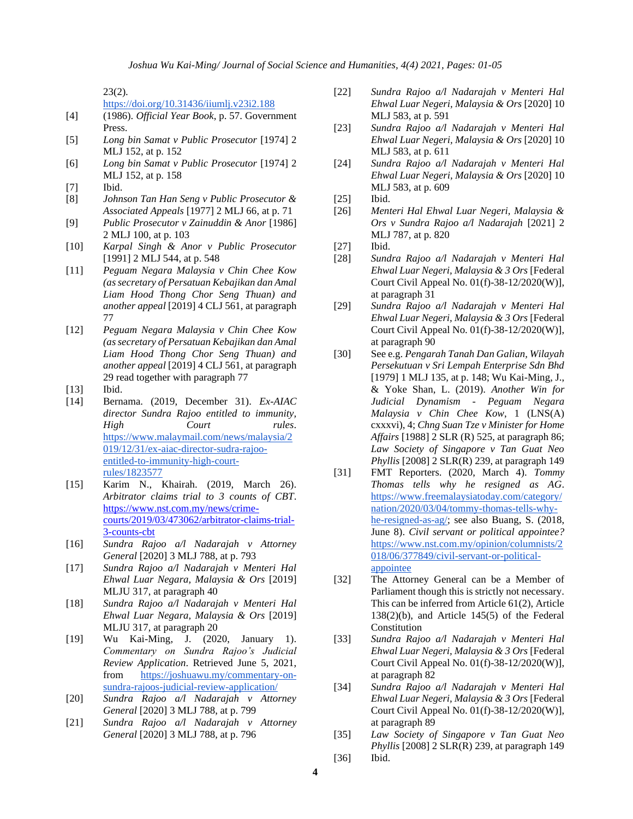23(2).

<https://doi.org/10.31436/iiumlj.v23i2.188>

- [4] (1986). *Official Year Book*, p. 57. Government Press.
- [5] *Long bin Samat v Public Prosecutor* [1974] 2 MLJ 152, at p. 152
- [6] *Long bin Samat v Public Prosecutor* [1974] 2 MLJ 152, at p. 158
- [7] Ibid.
- [8] *Johnson Tan Han Seng v Public Prosecutor & Associated Appeals* [1977] 2 MLJ 66, at p. 71
- [9] *Public Prosecutor v Zainuddin & Anor* [1986] 2 MLJ 100, at p. 103
- [10] *Karpal Singh & Anor v Public Prosecutor* [1991] 2 MLJ 544, at p. 548
- [11] *Peguam Negara Malaysia v Chin Chee Kow (as secretary of Persatuan Kebajikan dan Amal Liam Hood Thong Chor Seng Thuan) and another appeal* [2019] 4 CLJ 561, at paragraph 77
- [12] *Peguam Negara Malaysia v Chin Chee Kow (as secretary of Persatuan Kebajikan dan Amal Liam Hood Thong Chor Seng Thuan) and another appeal* [2019] 4 CLJ 561, at paragraph 29 read together with paragraph 77
- [13] **Ibid.**
- [14] Bernama. (2019, December 31). *Ex-AIAC director Sundra Rajoo entitled to immunity, High Court rules*. [https://www.malaymail.com/news/malaysia/2](https://www.malaymail.com/news/malaysia/2019/12/31/ex-aiac-director-sudra-rajoo-entitled-to-immunity-high-court-rules/1823577) [019/12/31/ex-aiac-director-sudra-rajoo](https://www.malaymail.com/news/malaysia/2019/12/31/ex-aiac-director-sudra-rajoo-entitled-to-immunity-high-court-rules/1823577)[entitled-to-immunity-high-court](https://www.malaymail.com/news/malaysia/2019/12/31/ex-aiac-director-sudra-rajoo-entitled-to-immunity-high-court-rules/1823577)[rules/1823577](https://www.malaymail.com/news/malaysia/2019/12/31/ex-aiac-director-sudra-rajoo-entitled-to-immunity-high-court-rules/1823577)
- [15] Karim N., Khairah. (2019, March 26). *Arbitrator claims trial to 3 counts of CBT*. [https://www.nst.com.my/news/crime](https://www.nst.com.my/news/crime-courts/2019/03/473062/arbitrator-claims-trial-3-counts-cbt)[courts/2019/03/473062/arbitrator-claims-trial-](https://www.nst.com.my/news/crime-courts/2019/03/473062/arbitrator-claims-trial-3-counts-cbt)[3-counts-cbt](https://www.nst.com.my/news/crime-courts/2019/03/473062/arbitrator-claims-trial-3-counts-cbt)
- [16] *Sundra Rajoo a/l Nadarajah v Attorney General* [2020] 3 MLJ 788, at p. 793
- [17] *Sundra Rajoo a/l Nadarajah v Menteri Hal Ehwal Luar Negara, Malaysia & Ors* [2019] MLJU 317, at paragraph 40
- [18] *Sundra Rajoo a/l Nadarajah v Menteri Hal Ehwal Luar Negara, Malaysia & Ors* [2019] MLJU 317, at paragraph 20
- [19] Wu Kai-Ming, J. (2020, January 1). *Commentary on Sundra Rajoo's Judicial Review Application*. Retrieved June 5, 2021, from [https://joshuawu.my/commentary-on](https://joshuawu.my/commentary-on-sundra-rajoos-judicial-review-application/)[sundra-rajoos-judicial-review-application/](https://joshuawu.my/commentary-on-sundra-rajoos-judicial-review-application/)
- [20] *Sundra Rajoo a/l Nadarajah v Attorney General* [2020] 3 MLJ 788, at p. 799
- [21] *Sundra Rajoo a/l Nadarajah v Attorney General* [2020] 3 MLJ 788, at p. 796
- [22] *Sundra Rajoo a/l Nadarajah v Menteri Hal Ehwal Luar Negeri, Malaysia & Ors* [2020] 10 MLJ 583, at p. 591
- [23] *Sundra Rajoo a/l Nadarajah v Menteri Hal Ehwal Luar Negeri, Malaysia & Ors* [2020] 10 MLJ 583, at p. 611
- [24] *Sundra Rajoo a/l Nadarajah v Menteri Hal Ehwal Luar Negeri, Malaysia & Ors* [2020] 10 MLJ 583, at p. 609
- [25] Ibid.
- [26] *Menteri Hal Ehwal Luar Negeri, Malaysia & Ors v Sundra Rajoo a/l Nadarajah* [2021] 2 MLJ 787, at p. 820
- [27] Ibid.
- [28] *Sundra Rajoo a/l Nadarajah v Menteri Hal Ehwal Luar Negeri, Malaysia & 3 Ors* [Federal Court Civil Appeal No. 01(f)-38-12/2020(W)], at paragraph 31
- [29] *Sundra Rajoo a/l Nadarajah v Menteri Hal Ehwal Luar Negeri, Malaysia & 3 Ors* [Federal Court Civil Appeal No. 01(f)-38-12/2020(W)], at paragraph 90
- [30] See e.g. *Pengarah Tanah Dan Galian, Wilayah Persekutuan v Sri Lempah Enterprise Sdn Bhd*  [1979] 1 MLJ 135, at p. 148; Wu Kai-Ming, J., & Yoke Shan, L. (2019). *Another Win for Judicial Dynamism - Peguam Negara Malaysia v Chin Chee Kow*, 1 (LNS(A) cxxxvi), 4; *Chng Suan Tze v Minister for Home Affairs* [1988] 2 SLR (R) 525, at paragraph 86; *Law Society of Singapore v Tan Guat Neo Phyllis* [2008] 2 SLR(R) 239, at paragraph 149
- [31] FMT Reporters. (2020, March 4). *Tommy Thomas tells why he resigned as AG*. [https://www.freemalaysiatoday.com/category/](https://www.freemalaysiatoday.com/category/nation/2020/03/04/tommy-thomas-tells-why-he-resigned-as-ag/) [nation/2020/03/04/tommy-thomas-tells-why](https://www.freemalaysiatoday.com/category/nation/2020/03/04/tommy-thomas-tells-why-he-resigned-as-ag/)[he-resigned-as-ag/;](https://www.freemalaysiatoday.com/category/nation/2020/03/04/tommy-thomas-tells-why-he-resigned-as-ag/) see also Buang, S. (2018, June 8). *Civil servant or political appointee?* [https://www.nst.com.my/opinion/columnists/2](https://www.nst.com.my/opinion/columnists/2018/06/377849/civil-servant-or-political-appointee) [018/06/377849/civil-servant-or-political](https://www.nst.com.my/opinion/columnists/2018/06/377849/civil-servant-or-political-appointee)[appointee](https://www.nst.com.my/opinion/columnists/2018/06/377849/civil-servant-or-political-appointee)
- [32] The Attorney General can be a Member of Parliament though this is strictly not necessary. This can be inferred from Article 61(2), Article 138(2)(b), and Article 145(5) of the Federal Constitution
- [33] *Sundra Rajoo a/l Nadarajah v Menteri Hal Ehwal Luar Negeri, Malaysia & 3 Ors* [Federal Court Civil Appeal No. 01(f)-38-12/2020(W)], at paragraph 82
- [34] *Sundra Rajoo a/l Nadarajah v Menteri Hal Ehwal Luar Negeri, Malaysia & 3 Ors* [Federal Court Civil Appeal No. 01(f)-38-12/2020(W)], at paragraph 89
- [35] *Law Society of Singapore v Tan Guat Neo Phyllis* [2008] 2 SLR(R) 239, at paragraph 149 [36] Ibid.